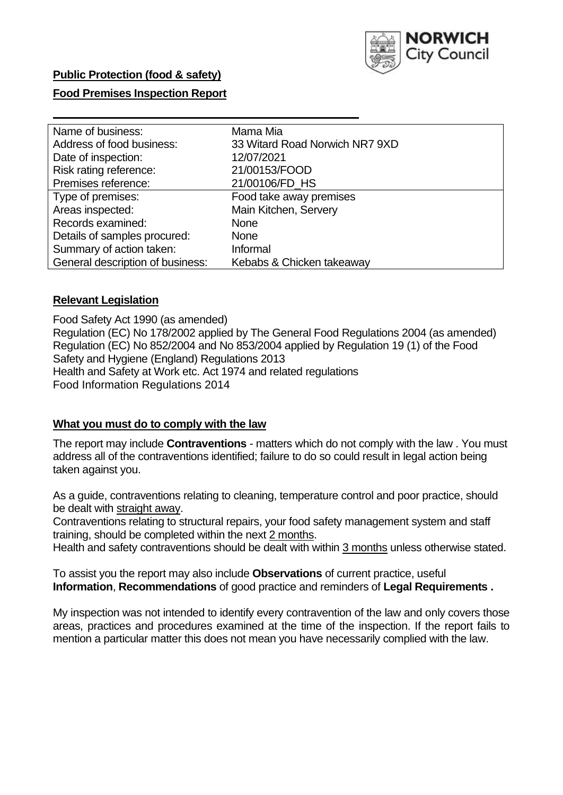

# **Public Protection (food & safety)**

## **Food Premises Inspection Report**

| Name of business:                | Mama Mia                       |
|----------------------------------|--------------------------------|
| Address of food business:        | 33 Witard Road Norwich NR7 9XD |
| Date of inspection:              | 12/07/2021                     |
| Risk rating reference:           | 21/00153/FOOD                  |
| Premises reference:              | 21/00106/FD_HS                 |
| Type of premises:                | Food take away premises        |
| Areas inspected:                 | Main Kitchen, Servery          |
| Records examined:                | <b>None</b>                    |
| Details of samples procured:     | <b>None</b>                    |
| Summary of action taken:         | Informal                       |
| General description of business: | Kebabs & Chicken takeaway      |

## **Relevant Legislation**

 Food Safety Act 1990 (as amended) Regulation (EC) No 178/2002 applied by The General Food Regulations 2004 (as amended) Regulation (EC) No 852/2004 and No 853/2004 applied by Regulation 19 (1) of the Food Safety and Hygiene (England) Regulations 2013 Health and Safety at Work etc. Act 1974 and related regulations Food Information Regulations 2014

## **What you must do to comply with the law**

 The report may include **Contraventions** - matters which do not comply with the law . You must address all of the contraventions identified; failure to do so could result in legal action being taken against you.

 As a guide, contraventions relating to cleaning, temperature control and poor practice, should be dealt with straight away.

 Contraventions relating to structural repairs, your food safety management system and staff training, should be completed within the next 2 months.

Health and safety contraventions should be dealt with within 3 months unless otherwise stated.

 To assist you the report may also include **Observations** of current practice, useful **Information**, **Recommendations** of good practice and reminders of **Legal Requirements .** 

 My inspection was not intended to identify every contravention of the law and only covers those areas, practices and procedures examined at the time of the inspection. If the report fails to mention a particular matter this does not mean you have necessarily complied with the law.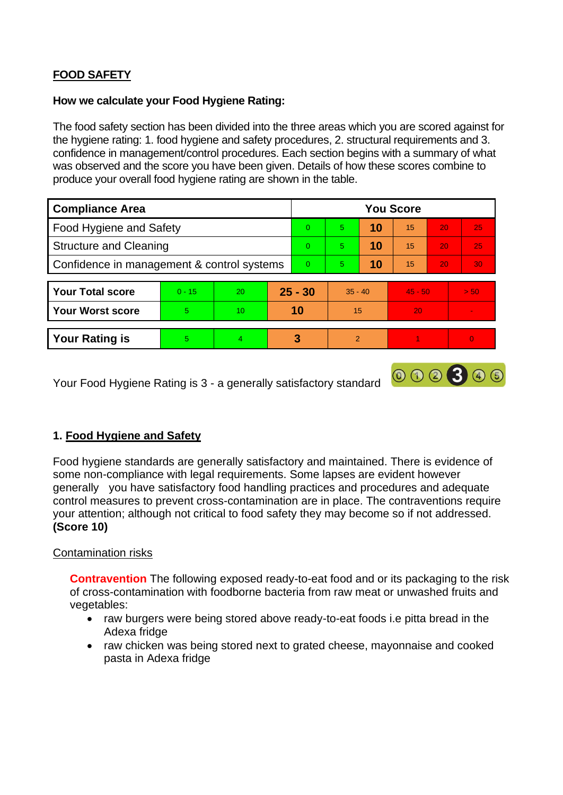# **FOOD SAFETY**

## **How we calculate your Food Hygiene Rating:**

 The food safety section has been divided into the three areas which you are scored against for the hygiene rating: 1. food hygiene and safety procedures, 2. structural requirements and 3. confidence in management/control procedures. Each section begins with a summary of what was observed and the score you have been given. Details of how these scores combine to produce your overall food hygiene rating are shown in the table.

| <b>Compliance Area</b>                     |          |    |           | <b>You Score</b> |               |    |           |                 |                |  |  |
|--------------------------------------------|----------|----|-----------|------------------|---------------|----|-----------|-----------------|----------------|--|--|
| Food Hygiene and Safety                    |          |    |           | $\Omega$         | 5             | 10 | 15        | 20              | 25             |  |  |
| <b>Structure and Cleaning</b>              |          |    | $\Omega$  | $\overline{5}$   | 10            | 15 | 20        | 25              |                |  |  |
| Confidence in management & control systems |          |    | $\Omega$  | 5                | 10            | 15 | 20        | 30 <sup>°</sup> |                |  |  |
|                                            |          |    |           |                  |               |    |           |                 |                |  |  |
| <b>Your Total score</b>                    | $0 - 15$ | 20 | $25 - 30$ |                  | $35 - 40$     |    | $45 - 50$ |                 | > 50           |  |  |
| <b>Your Worst score</b>                    | 5        | 10 | 10        |                  | 15            |    | 20        |                 |                |  |  |
|                                            |          |    |           |                  |               |    |           |                 |                |  |  |
| <b>Your Rating is</b>                      | 5        | 4  |           | 3                | $\mathcal{P}$ |    |           |                 | $\overline{0}$ |  |  |

Your Food Hygiene Rating is 3 - a generally satisfactory standard

# **1. Food Hygiene and Safety**

 generally you have satisfactory food handling practices and procedures and adequate Food hygiene standards are generally satisfactory and maintained. There is evidence of some non-compliance with legal requirements. Some lapses are evident however control measures to prevent cross-contamination are in place. The contraventions require your attention; although not critical to food safety they may become so if not addressed. **(Score 10)** 

000300

## Contamination risks

**Contravention** The following exposed ready-to-eat food and or its packaging to the risk of cross-contamination with foodborne bacteria from raw meat or unwashed fruits and vegetables:

- • raw burgers were being stored above ready-to-eat foods i.e pitta bread in the Adexa fridge
- • raw chicken was being stored next to grated cheese, mayonnaise and cooked pasta in Adexa fridge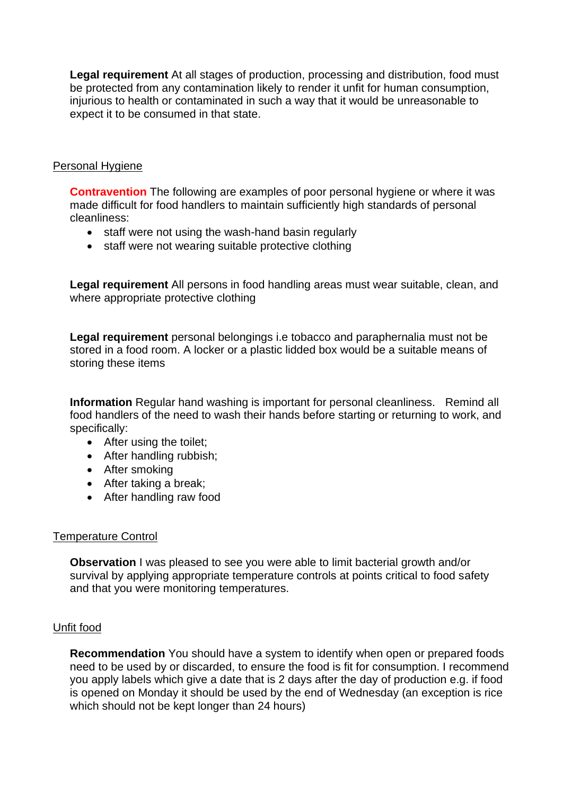injurious to health or contaminated in such a way that it would be unreasonable to **Legal requirement** At all stages of production, processing and distribution, food must be protected from any contamination likely to render it unfit for human consumption, expect it to be consumed in that state.

## Personal Hygiene

**Contravention** The following are examples of poor personal hygiene or where it was made difficult for food handlers to maintain sufficiently high standards of personal cleanliness:

- staff were not using the wash-hand basin regularly
- staff were not wearing suitable protective clothing

**Legal requirement** All persons in food handling areas must wear suitable, clean, and where appropriate protective clothing

**Legal requirement** personal belongings i.e tobacco and paraphernalia must not be stored in a food room. A locker or a plastic lidded box would be a suitable means of storing these items

 **Information** Regular hand washing is important for personal cleanliness. Remind all food handlers of the need to wash their hands before starting or returning to work, and specifically:

- After using the toilet;
- After handling rubbish;
- After smoking
- After taking a break;
- After handling raw food

## Temperature Control

**Observation I** was pleased to see you were able to limit bacterial growth and/or survival by applying appropriate temperature controls at points critical to food safety and that you were monitoring temperatures.

## Unfit food

**Recommendation** You should have a system to identify when open or prepared foods need to be used by or discarded, to ensure the food is fit for consumption. I recommend you apply labels which give a date that is 2 days after the day of production e.g. if food is opened on Monday it should be used by the end of Wednesday (an exception is rice which should not be kept longer than 24 hours)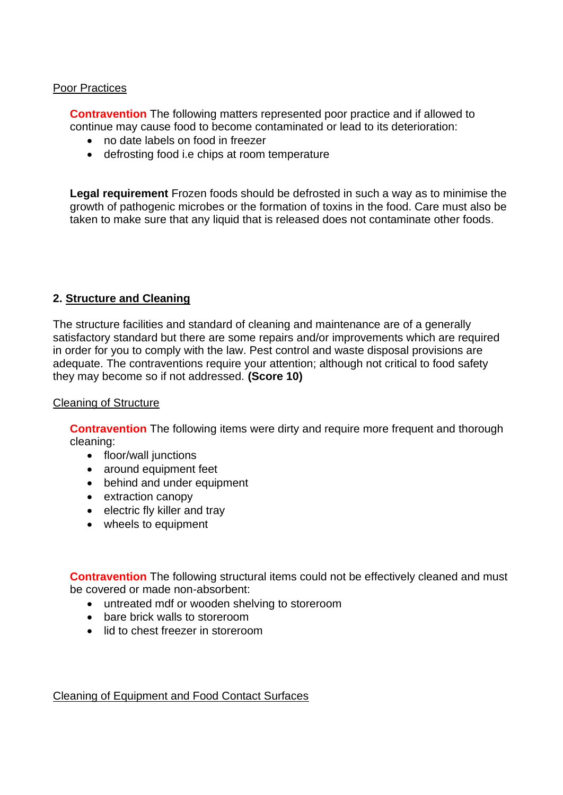## Poor Practices

 **Contravention** The following matters represented poor practice and if allowed to continue may cause food to become contaminated or lead to its deterioration:

- no date labels on food in freezer
- defrosting food i.e chips at room temperature

 growth of pathogenic microbes or the formation of toxins in the food. Care must also be **Legal requirement** Frozen foods should be defrosted in such a way as to minimise the taken to make sure that any liquid that is released does not contaminate other foods.

## **2. Structure and Cleaning**

The structure facilities and standard of cleaning and maintenance are of a generally satisfactory standard but there are some repairs and/or improvements which are required in order for you to comply with the law. Pest control and waste disposal provisions are adequate. The contraventions require your attention; although not critical to food safety they may become so if not addressed. **(Score 10)** 

#### Cleaning of Structure

**Contravention** The following items were dirty and require more frequent and thorough cleaning:

- floor/wall junctions
- around equipment feet
- behind and under equipment
- extraction canopy
- electric fly killer and tray
- wheels to equipment

**Contravention** The following structural items could not be effectively cleaned and must be covered or made non-absorbent:

- untreated mdf or wooden shelving to storeroom
- bare brick walls to storeroom
- lid to chest freezer in storeroom

## Cleaning of Equipment and Food Contact Surfaces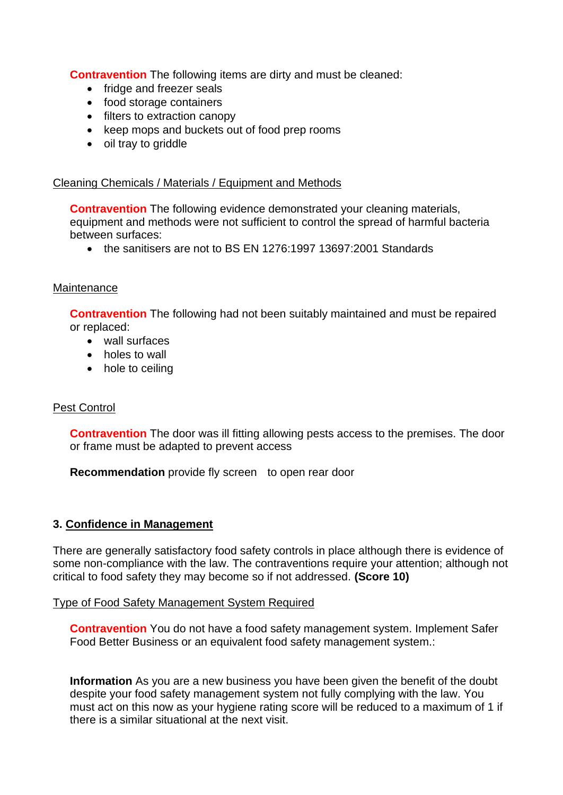**Contravention** The following items are dirty and must be cleaned:

- fridge and freezer seals
- food storage containers
- filters to extraction canopy
- keep mops and buckets out of food prep rooms
- oil tray to griddle

## Cleaning Chemicals / Materials / Equipment and Methods

**Contravention** The following evidence demonstrated your cleaning materials, equipment and methods were not sufficient to control the spread of harmful bacteria between surfaces:

• the sanitisers are not to BS EN 1276:1997 13697:2001 Standards

## **Maintenance**

**Contravention** The following had not been suitably maintained and must be repaired or replaced:

- wall surfaces
- holes to wall
- hole to ceiling

## Pest Control

**Contravention** The door was ill fitting allowing pests access to the premises. The door or frame must be adapted to prevent access

**Recommendation** provide fly screen to open rear door

#### **3. Confidence in Management**

 There are generally satisfactory food safety controls in place although there is evidence of some non-compliance with the law. The contraventions require your attention; although not critical to food safety they may become so if not addressed. **(Score 10)** 

#### Type of Food Safety Management System Required

**Contravention** You do not have a food safety management system. Implement Safer Food Better Business or an equivalent food safety management system.:

 **Information** As you are a new business you have been given the benefit of the doubt there is a similar situational at the next visit. despite your food safety management system not fully complying with the law. You must act on this now as your hygiene rating score will be reduced to a maximum of 1 if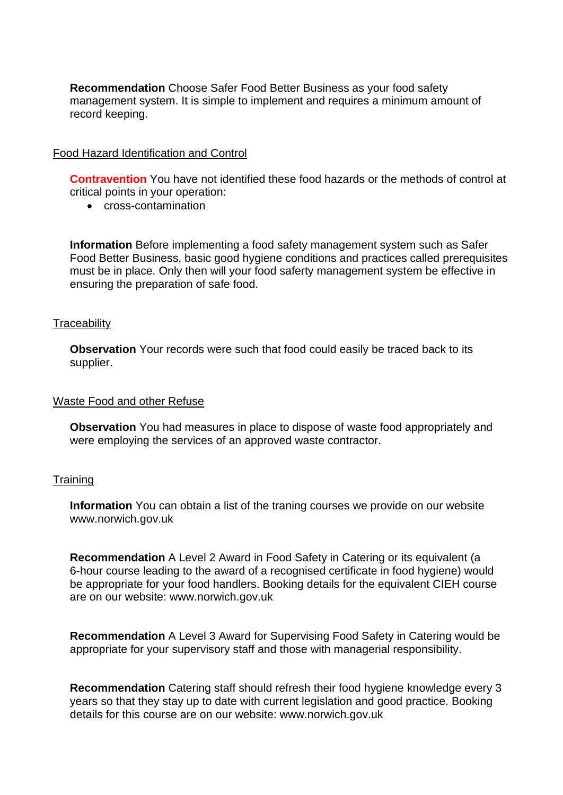management system. It is simple to implement and requires a minimum amount of **Recommendation** Choose Safer Food Better Business as your food safety record keeping.

## Food Hazard Identification and Control

**Contravention** You have not identified these food hazards or the methods of control at critical points in your operation:

• cross-contamination

**Information** Before implementing a food safety management system such as Safer Food Better Business, basic good hygiene conditions and practices called prerequisites must be in place. Only then will your food saferty management system be effective in ensuring the preparation of safe food.

#### **Traceability**

**Observation** Your records were such that food could easily be traced back to its supplier.

#### Waste Food and other Refuse

 **Observation** You had measures in place to dispose of waste food appropriately and were employing the services of an approved waste contractor.

#### **Training**

**Information** You can obtain a list of the traning courses we provide on our website <www.norwich.gov.uk>

**Recommendation** A Level 2 Award in Food Safety in Catering or its equivalent (a 6-hour course leading to the award of a recognised certificate in food hygiene) would be appropriate for your food handlers. Booking details for the equivalent CIEH course are on our website: <www.norwich.gov.uk>

**Recommendation** A Level 3 Award for Supervising Food Safety in Catering would be appropriate for your supervisory staff and those with managerial responsibility.

**Recommendation** Catering staff should refresh their food hygiene knowledge every 3 years so that they stay up to date with current legislation and good practice. Booking details for this course are on our website:<www.norwich.gov.uk>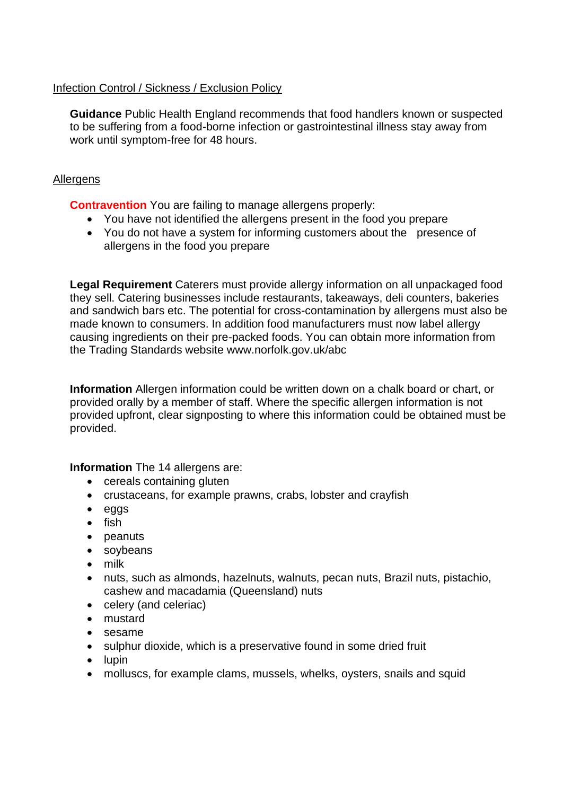# Infection Control / Sickness / Exclusion Policy

**Guidance** Public Health England recommends that food handlers known or suspected to be suffering from a food-borne infection or gastrointestinal illness stay away from work until symptom-free for 48 hours.

# **Allergens**

**Contravention** You are failing to manage allergens properly:

- You have not identified the allergens present in the food you prepare
- You do not have a system for informing customers about the presence of allergens in the food you prepare

 **Legal Requirement** Caterers must provide allergy information on all unpackaged food they sell. Catering businesses include restaurants, takeaways, deli counters, bakeries causing ingredients on their pre-packed foods. You can obtain more information from the Trading Standards website<www.norfolk.gov.uk/abc> and sandwich bars etc. The potential for cross-contamination by allergens must also be made known to consumers. In addition food manufacturers must now label allergy

 provided upfront, clear signposting to where this information could be obtained must be **Information** Allergen information could be written down on a chalk board or chart, or provided orally by a member of staff. Where the specific allergen information is not provided.

**Information** The 14 allergens are:

- cereals containing gluten
- crustaceans, for example prawns, crabs, lobster and crayfish
- eggs
- fish
- peanuts
- soybeans
- milk
- nuts, such as almonds, hazelnuts, walnuts, pecan nuts, Brazil nuts, pistachio, cashew and macadamia (Queensland) nuts
- celery (and celeriac)
- mustard
- sesame
- sulphur dioxide, which is a preservative found in some dried fruit
- lupin
- molluscs, for example clams, mussels, whelks, oysters, snails and squid